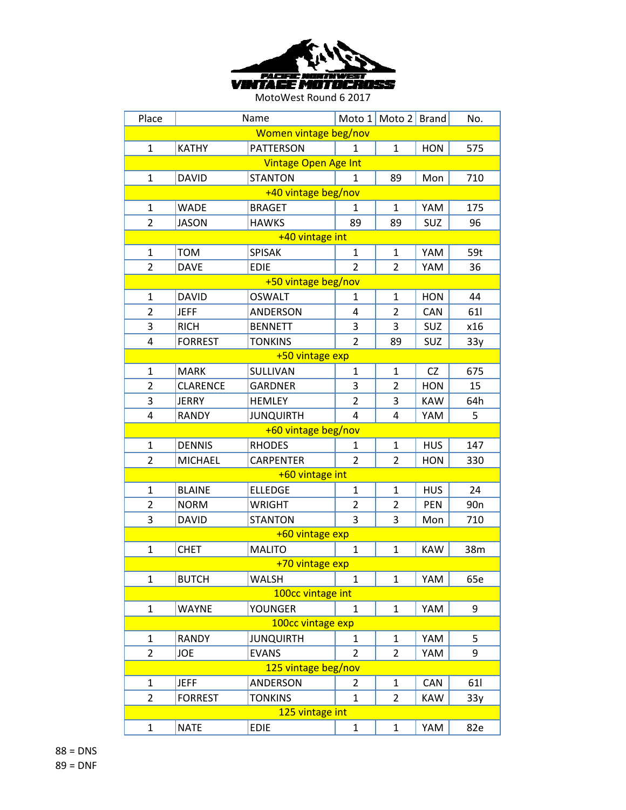

| Place                 |                             | Name                |                | Moto 1   Moto 2   Brand |            | No.             |  |  |
|-----------------------|-----------------------------|---------------------|----------------|-------------------------|------------|-----------------|--|--|
| Women vintage beg/nov |                             |                     |                |                         |            |                 |  |  |
| $\mathbf{1}$          | <b>KATHY</b>                | <b>PATTERSON</b>    | 1              | $\mathbf{1}$            | <b>HON</b> | 575             |  |  |
|                       | <b>Vintage Open Age Int</b> |                     |                |                         |            |                 |  |  |
| 1                     | <b>DAVID</b>                | <b>STANTON</b>      | $\mathbf{1}$   | 89                      | Mon        | 710             |  |  |
|                       |                             | +40 vintage beg/nov |                |                         |            |                 |  |  |
| 1                     | <b>WADE</b>                 | <b>BRAGET</b>       | 1              | 1                       | YAM        | 175             |  |  |
| $\overline{2}$        | <b>JASON</b>                | <b>HAWKS</b>        | 89             | 89                      | SUZ        | 96              |  |  |
|                       |                             | +40 vintage int     |                |                         |            |                 |  |  |
| $\mathbf{1}$          | <b>TOM</b>                  | <b>SPISAK</b>       | $\mathbf{1}$   | $\mathbf{1}$            | YAM        | 59t             |  |  |
| $\overline{2}$        | <b>DAVE</b>                 | <b>EDIE</b>         | $\overline{2}$ | 2                       | YAM        | 36              |  |  |
|                       |                             | +50 vintage beg/nov |                |                         |            |                 |  |  |
| 1                     | <b>DAVID</b>                | <b>OSWALT</b>       | 1              | 1                       | <b>HON</b> | 44              |  |  |
| $\overline{2}$        | <b>JEFF</b>                 | <b>ANDERSON</b>     | 4              | $\overline{2}$          | <b>CAN</b> | 611             |  |  |
| 3                     | <b>RICH</b>                 | <b>BENNETT</b>      | 3              | 3                       | SUZ        | x16             |  |  |
| 4                     | <b>FORREST</b>              | <b>TONKINS</b>      | $\overline{2}$ | 89                      | <b>SUZ</b> | 33y             |  |  |
|                       |                             | +50 vintage exp     |                |                         |            |                 |  |  |
| 1                     | <b>MARK</b>                 | SULLIVAN            | 1              | 1                       | <b>CZ</b>  | 675             |  |  |
| $\overline{2}$        | <b>CLARENCE</b>             | <b>GARDNER</b>      | 3              | $\overline{2}$          | <b>HON</b> | 15              |  |  |
| 3                     | JERRY                       | <b>HEMLEY</b>       | $\overline{2}$ | 3                       | <b>KAW</b> | 64h             |  |  |
| 4                     | <b>RANDY</b>                | <b>JUNQUIRTH</b>    | 4              | 4                       | YAM        | 5               |  |  |
|                       |                             | +60 vintage beg/nov |                |                         |            |                 |  |  |
| 1                     | <b>DENNIS</b>               | <b>RHODES</b>       | 1              | 1                       | <b>HUS</b> | 147             |  |  |
| $\overline{2}$        | <b>MICHAEL</b>              | <b>CARPENTER</b>    | $\overline{2}$ | 2                       | <b>HON</b> | 330             |  |  |
|                       |                             | +60 vintage int     |                |                         |            |                 |  |  |
| 1                     | <b>BLAINE</b>               | <b>ELLEDGE</b>      | $\mathbf{1}$   | 1                       | <b>HUS</b> | 24              |  |  |
| $\overline{2}$        | <b>NORM</b>                 | <b>WRIGHT</b>       | 2              | 2                       | <b>PEN</b> | 90 <sub>n</sub> |  |  |
| 3                     | <b>DAVID</b>                | <b>STANTON</b>      | 3              | 3                       | Mon        | 710             |  |  |
|                       |                             | +60 vintage exp     |                |                         |            |                 |  |  |
| 1                     | <b>CHET</b>                 | <b>MALITO</b>       | $\mathbf{1}$   | 1                       | <b>KAW</b> | 38m             |  |  |
|                       |                             | +70 vintage exp     |                |                         |            |                 |  |  |
| $\mathbf{1}$          | <b>BUTCH</b>                | <b>WALSH</b>        | 1              | 1                       | YAM        | 65e             |  |  |
|                       |                             | 100cc vintage int   |                |                         |            |                 |  |  |
| $\mathbf{1}$          | <b>WAYNE</b>                | <b>YOUNGER</b>      | $\mathbf{1}$   | $\mathbf{1}$            | YAM        | 9               |  |  |
|                       |                             | 100cc vintage exp   |                |                         |            |                 |  |  |
| 1                     | RANDY                       | <b>JUNQUIRTH</b>    | $\mathbf{1}$   | $\mathbf{1}$            | YAM        | 5               |  |  |
| $\overline{2}$        | JOE                         | <b>EVANS</b>        | $\overline{2}$ | 2                       | YAM        | 9               |  |  |
| 125 vintage beg/nov   |                             |                     |                |                         |            |                 |  |  |
| 1                     | <b>JEFF</b>                 | ANDERSON            | 2              | 1                       | CAN        | 61              |  |  |
| $\overline{2}$        | <b>FORREST</b>              | <b>TONKINS</b>      | $\mathbf{1}$   | $\overline{2}$          | <b>KAW</b> | 33y             |  |  |
|                       |                             | 125 vintage int     |                |                         |            |                 |  |  |
| 1                     | <b>NATE</b>                 | <b>EDIE</b>         | $\mathbf{1}$   | 1                       | YAM        | 82e             |  |  |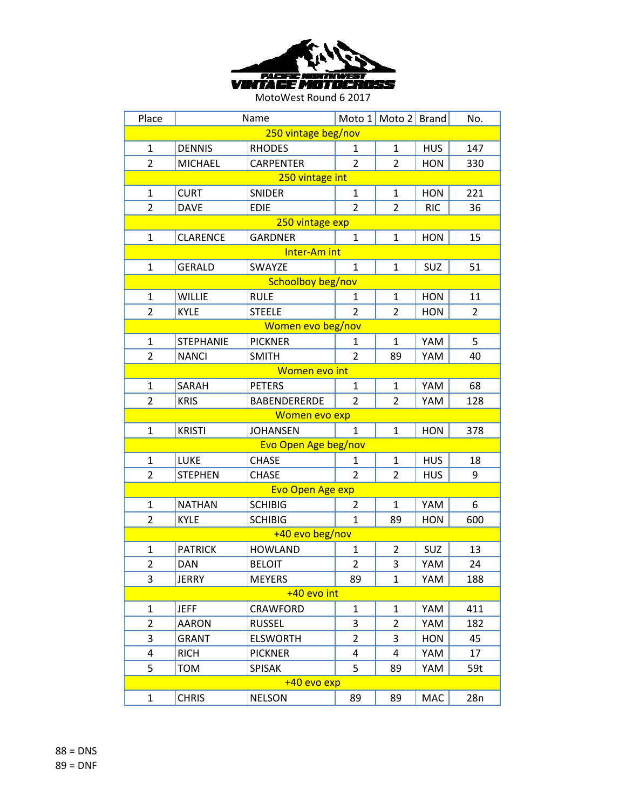

| Place               |                  | Name                    |                | Moto 1 Moto 2 Brand |            | No.            |  |  |  |
|---------------------|------------------|-------------------------|----------------|---------------------|------------|----------------|--|--|--|
| 250 vintage beg/nov |                  |                         |                |                     |            |                |  |  |  |
| 1                   | <b>DENNIS</b>    | <b>RHODES</b>           | 1              | $\mathbf{1}$        | <b>HUS</b> | 147            |  |  |  |
| $\overline{2}$      | <b>MICHAEL</b>   | <b>CARPENTER</b>        | $\overline{2}$ | $\overline{2}$      | <b>HON</b> | 330            |  |  |  |
|                     | 250 vintage int  |                         |                |                     |            |                |  |  |  |
| 1                   | <b>CURT</b>      | <b>SNIDER</b>           | 1              | 1                   | <b>HON</b> | 221            |  |  |  |
| $\overline{2}$      | <b>DAVE</b>      | <b>EDIE</b>             | $\overline{2}$ | $\overline{2}$      | <b>RIC</b> | 36             |  |  |  |
|                     |                  | 250 vintage exp         |                |                     |            |                |  |  |  |
| $\mathbf{1}$        | <b>CLARENCE</b>  | <b>GARDNER</b>          | $\mathbf{1}$   | $\mathbf{1}$        | <b>HON</b> | 15             |  |  |  |
|                     |                  | Inter-Am int            |                |                     |            |                |  |  |  |
| 1                   | <b>GERALD</b>    | SWAYZE                  | $\mathbf{1}$   | 1                   | <b>SUZ</b> | 51             |  |  |  |
|                     |                  | Schoolboy beg/nov       |                |                     |            |                |  |  |  |
| 1                   | <b>WILLIE</b>    | <b>RULE</b>             | 1              | 1                   | <b>HON</b> | 11             |  |  |  |
| $\overline{2}$      | <b>KYLE</b>      | <b>STEELE</b>           | $\overline{2}$ | $\overline{2}$      | <b>HON</b> | $\overline{2}$ |  |  |  |
|                     |                  | Women evo beg/nov       |                |                     |            |                |  |  |  |
| 1                   | <b>STEPHANIE</b> | <b>PICKNER</b>          | 1              | 1                   | YAM        | 5              |  |  |  |
| $\overline{2}$      | <b>NANCI</b>     | <b>SMITH</b>            | $\overline{2}$ | 89                  | YAM        | 40             |  |  |  |
|                     |                  | Women evo int           |                |                     |            |                |  |  |  |
| $\mathbf{1}$        | SARAH            | <b>PETERS</b>           | $\mathbf{1}$   | $\mathbf{1}$        | YAM        | 68             |  |  |  |
| $\overline{2}$      | <b>KRIS</b>      | <b>BABENDERERDE</b>     | $\overline{2}$ | $\overline{2}$      | YAM        | 128            |  |  |  |
|                     |                  | Women evo exp           |                |                     |            |                |  |  |  |
| 1                   | <b>KRISTI</b>    | <b>JOHANSEN</b>         | $\mathbf{1}$   | 1                   | <b>HON</b> | 378            |  |  |  |
|                     |                  | Evo Open Age beg/nov    |                |                     |            |                |  |  |  |
| $\mathbf{1}$        | <b>LUKE</b>      | <b>CHASE</b>            | 1              | $\mathbf{1}$        | <b>HUS</b> | 18             |  |  |  |
| $\overline{2}$      | <b>STEPHEN</b>   | <b>CHASE</b>            | $\overline{2}$ | $\overline{2}$      | <b>HUS</b> | 9              |  |  |  |
|                     |                  | <b>Evo Open Age exp</b> |                |                     |            |                |  |  |  |
| 1                   | <b>NATHAN</b>    | <b>SCHIBIG</b>          | 2              | 1                   | YAM        | 6              |  |  |  |
| $\overline{2}$      | <b>KYLE</b>      | <b>SCHIBIG</b>          | $\mathbf{1}$   | 89                  | <b>HON</b> | 600            |  |  |  |
|                     |                  | +40 evo beg/nov         |                |                     |            |                |  |  |  |
| $\mathbf{1}$        | <b>PATRICK</b>   | <b>HOWLAND</b>          | $\mathbf{1}$   | $\overline{2}$      | SUZ        | 13             |  |  |  |
| $\overline{2}$      | <b>DAN</b>       | <b>BELOIT</b>           | $\overline{2}$ | 3                   | YAM        | 24             |  |  |  |
| 3                   | JERRY            | <b>MEYERS</b>           | 89             | 1                   | YAM        | 188            |  |  |  |
| +40 evo int         |                  |                         |                |                     |            |                |  |  |  |
| 1                   | <b>JEFF</b>      | <b>CRAWFORD</b>         | 1              | 1                   | YAM        | 411            |  |  |  |
| $\overline{2}$      | <b>AARON</b>     | <b>RUSSEL</b>           | 3              | $\overline{2}$      | YAM        | 182            |  |  |  |
| 3                   | <b>GRANT</b>     | <b>ELSWORTH</b>         | 2              | 3                   | <b>HON</b> | 45             |  |  |  |
| 4                   | <b>RICH</b>      | <b>PICKNER</b>          | 4              | 4                   | YAM        | 17             |  |  |  |
| 5                   | <b>TOM</b>       | <b>SPISAK</b>           | 5              | 89                  | YAM        | 59t            |  |  |  |
| +40 evo exp         |                  |                         |                |                     |            |                |  |  |  |
| $\mathbf{1}$        | <b>CHRIS</b>     | <b>NELSON</b>           | 89             | 89                  | MAC        | 28n            |  |  |  |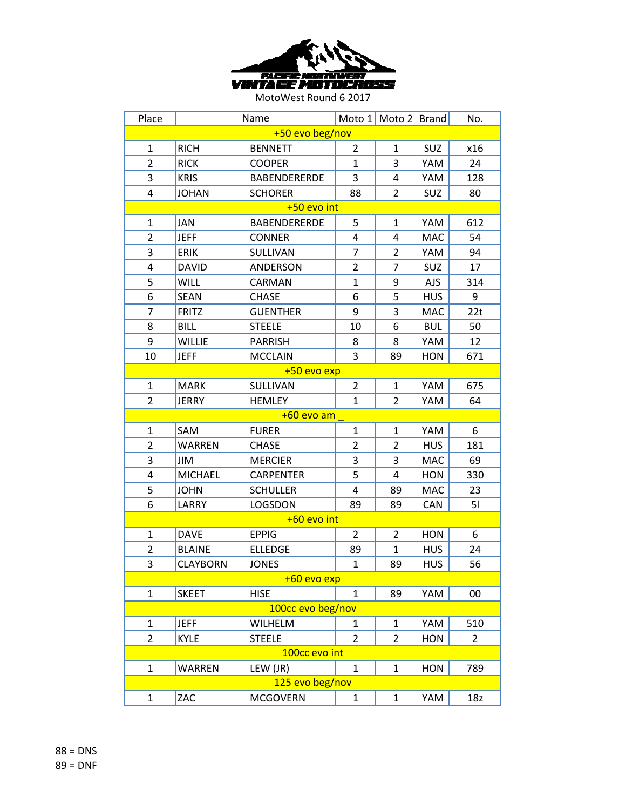

| Place           |                 | Name                |                | Moto 1 Moto 2 Brand |            | No.            |  |
|-----------------|-----------------|---------------------|----------------|---------------------|------------|----------------|--|
| +50 evo beg/nov |                 |                     |                |                     |            |                |  |
| 1               | <b>RICH</b>     | <b>BENNETT</b>      | 2              | $\mathbf{1}$        | SUZ        | x16            |  |
| $\overline{2}$  | <b>RICK</b>     | <b>COOPER</b>       | $\mathbf{1}$   | 3                   | YAM        | 24             |  |
| 3               | <b>KRIS</b>     | <b>BABENDERERDE</b> | 3              | 4                   | YAM        | 128            |  |
| 4               | <b>JOHAN</b>    | <b>SCHORER</b>      | 88             | 2                   | <b>SUZ</b> | 80             |  |
|                 |                 | +50 evo int         |                |                     |            |                |  |
| $\mathbf{1}$    | JAN             | <b>BABENDERERDE</b> | 5              | 1                   | YAM        | 612            |  |
| $\overline{2}$  | <b>JEFF</b>     | <b>CONNER</b>       | 4              | 4                   | <b>MAC</b> | 54             |  |
| 3               | <b>ERIK</b>     | SULLIVAN            | $\overline{7}$ | $\overline{2}$      | YAM        | 94             |  |
| 4               | <b>DAVID</b>    | ANDERSON            | 2              | 7                   | <b>SUZ</b> | 17             |  |
| 5               | <b>WILL</b>     | CARMAN              | $\mathbf{1}$   | 9                   | <b>AJS</b> | 314            |  |
| 6               | <b>SEAN</b>     | <b>CHASE</b>        | 6              | 5                   | <b>HUS</b> | 9              |  |
| $\overline{7}$  | <b>FRITZ</b>    | <b>GUENTHER</b>     | 9              | 3                   | <b>MAC</b> | 22t            |  |
| 8               | <b>BILL</b>     | <b>STEELE</b>       | 10             | 6                   | <b>BUL</b> | 50             |  |
| 9               | <b>WILLIE</b>   | <b>PARRISH</b>      | 8              | 8                   | YAM        | 12             |  |
| 10              | <b>JEFF</b>     | <b>MCCLAIN</b>      | 3              | 89                  | <b>HON</b> | 671            |  |
|                 |                 | $+50$ evo exp       |                |                     |            |                |  |
| $\mathbf{1}$    | <b>MARK</b>     | SULLIVAN            | $\overline{2}$ | $\mathbf{1}$        | YAM        | 675            |  |
| $\overline{2}$  | <b>JERRY</b>    | <b>HEMLEY</b>       | $\mathbf{1}$   | $\overline{2}$      | YAM        | 64             |  |
|                 |                 | $+60$ evo am        |                |                     |            |                |  |
| $\mathbf{1}$    | SAM             | <b>FURER</b>        | $\mathbf{1}$   | $\mathbf{1}$        | YAM        | 6              |  |
| $\overline{2}$  | <b>WARREN</b>   | <b>CHASE</b>        | $\overline{2}$ | $\overline{2}$      | <b>HUS</b> | 181            |  |
| 3               | JIM             | <b>MERCIER</b>      | 3              | 3                   | <b>MAC</b> | 69             |  |
| 4               | <b>MICHAEL</b>  | <b>CARPENTER</b>    | 5              | 4                   | <b>HON</b> | 330            |  |
| 5               | <b>JOHN</b>     | <b>SCHULLER</b>     | 4              | 89                  | <b>MAC</b> | 23             |  |
| 6               | LARRY           | LOGSDON             | 89             | 89                  | <b>CAN</b> | 51             |  |
|                 |                 | $+60$ evo int       |                |                     |            |                |  |
| $\mathbf{1}$    | <b>DAVE</b>     | <b>EPPIG</b>        | $\overline{2}$ | $\overline{2}$      | <b>HON</b> | 6              |  |
| 2               | <b>BLAINE</b>   | <b>ELLEDGE</b>      | 89             | 1                   | <b>HUS</b> | 24             |  |
| 3               | <b>CLAYBORN</b> | <b>JONES</b>        | $\mathbf{1}$   | 89                  | <b>HUS</b> | 56             |  |
|                 |                 | +60 evo exp         |                |                     |            |                |  |
| $\mathbf{1}$    | <b>SKEET</b>    | <b>HISE</b>         | $\mathbf{1}$   | 89                  | YAM        | 00             |  |
|                 |                 | 100cc evo beg/nov   |                |                     |            |                |  |
| $\mathbf{1}$    | <b>JEFF</b>     | <b>WILHELM</b>      | 1              | $\mathbf{1}$        | YAM        | 510            |  |
| $\overline{2}$  | <b>KYLE</b>     | <b>STEELE</b>       | $\overline{2}$ | $\overline{2}$      | <b>HON</b> | $\overline{2}$ |  |
|                 |                 | 100cc evo int       |                |                     |            |                |  |
| $\mathbf{1}$    | WARREN          | LEW (JR)            | $\mathbf{1}$   | $\mathbf{1}$        | <b>HON</b> | 789            |  |
|                 |                 | 125 evo beg/nov     |                |                     |            |                |  |
| $\mathbf{1}$    | ZAC             | <b>MCGOVERN</b>     | $\mathbf{1}$   | $\mathbf{1}$        | YAM        | 18z            |  |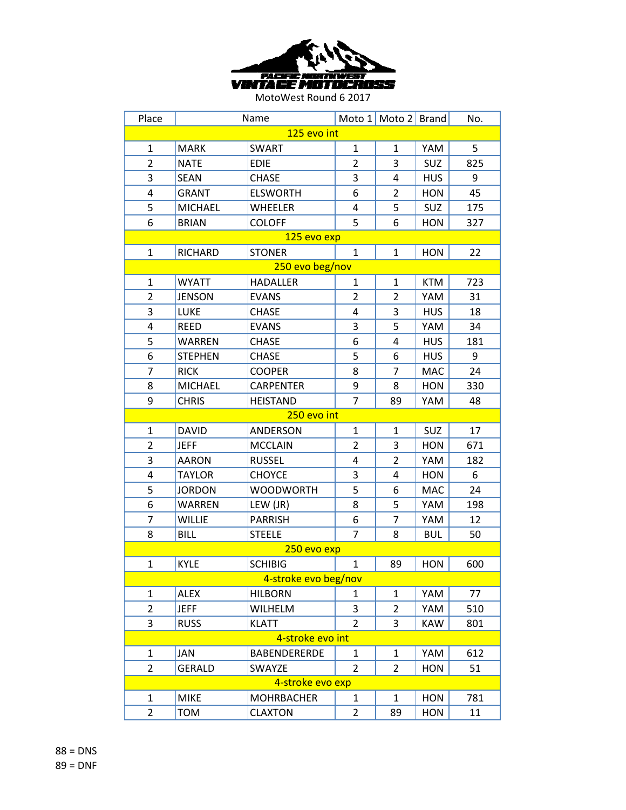

| Place                |                | Name                |                | Moto 1 Moto 2 Brand |            | No. |  |
|----------------------|----------------|---------------------|----------------|---------------------|------------|-----|--|
| 125 evo int          |                |                     |                |                     |            |     |  |
| 1                    | <b>MARK</b>    | <b>SWART</b>        | $\mathbf{1}$   | $\mathbf{1}$        | YAM        | 5   |  |
| $\overline{2}$       | <b>NATE</b>    | <b>EDIE</b>         | $\overline{2}$ | 3                   | <b>SUZ</b> | 825 |  |
| 3                    | <b>SEAN</b>    | <b>CHASE</b>        | 3              | 4                   | <b>HUS</b> | 9   |  |
| 4                    | <b>GRANT</b>   | <b>ELSWORTH</b>     | 6              | 2                   | <b>HON</b> | 45  |  |
| 5                    | <b>MICHAEL</b> | <b>WHEELER</b>      | 4              | 5                   | <b>SUZ</b> | 175 |  |
| 6                    | <b>BRIAN</b>   | <b>COLOFF</b>       | 5              | 6                   | <b>HON</b> | 327 |  |
|                      |                | 125 evo exp         |                |                     |            |     |  |
| $\mathbf{1}$         | RICHARD        | <b>STONER</b>       | $\mathbf{1}$   | $\mathbf{1}$        | <b>HON</b> | 22  |  |
|                      |                | 250 evo beg/nov     |                |                     |            |     |  |
| $\mathbf{1}$         | <b>WYATT</b>   | <b>HADALLER</b>     | $\mathbf{1}$   | $\mathbf{1}$        | <b>KTM</b> | 723 |  |
| $\overline{2}$       | <b>JENSON</b>  | <b>EVANS</b>        | $\overline{2}$ | 2                   | YAM        | 31  |  |
| 3                    | <b>LUKE</b>    | <b>CHASE</b>        | $\overline{4}$ | 3                   | <b>HUS</b> | 18  |  |
| 4                    | <b>REED</b>    | <b>EVANS</b>        | 3              | 5                   | YAM        | 34  |  |
| 5                    | <b>WARREN</b>  | <b>CHASE</b>        | 6              | 4                   | <b>HUS</b> | 181 |  |
| 6                    | <b>STEPHEN</b> | <b>CHASE</b>        | 5              | 6                   | <b>HUS</b> | 9   |  |
| $\overline{7}$       | <b>RICK</b>    | <b>COOPER</b>       | 8              | $\overline{7}$      | MAC        | 24  |  |
| 8                    | <b>MICHAEL</b> | <b>CARPENTER</b>    | 9              | 8                   | <b>HON</b> | 330 |  |
| 9                    | <b>CHRIS</b>   | <b>HEISTAND</b>     | $\overline{7}$ | 89                  | YAM        | 48  |  |
| 250 evo int          |                |                     |                |                     |            |     |  |
| $\mathbf{1}$         | <b>DAVID</b>   | ANDERSON            | $\mathbf{1}$   | $\mathbf{1}$        | SUZ        | 17  |  |
| $\overline{2}$       | <b>JEFF</b>    | <b>MCCLAIN</b>      | $\overline{2}$ | 3                   | <b>HON</b> | 671 |  |
| 3                    | <b>AARON</b>   | <b>RUSSEL</b>       | 4              | $\overline{2}$      | YAM        | 182 |  |
| 4                    | <b>TAYLOR</b>  | <b>CHOYCE</b>       | 3              | 4                   | <b>HON</b> | 6   |  |
| 5                    | <b>JORDON</b>  | <b>WOODWORTH</b>    | 5              | 6                   | <b>MAC</b> | 24  |  |
| 6                    | <b>WARREN</b>  | LEW (JR)            | 8              | 5                   | YAM        | 198 |  |
| $\overline{7}$       | <b>WILLIE</b>  | <b>PARRISH</b>      | 6              | $\overline{7}$      | YAM        | 12  |  |
| 8                    | <b>BILL</b>    | <b>STEELE</b>       | $\overline{7}$ | 8                   | <b>BUL</b> | 50  |  |
|                      |                | 250 evo exp         |                |                     |            |     |  |
| $\mathbf{1}$         | <b>KYLE</b>    | <b>SCHIBIG</b>      | $\mathbf{1}$   | 89                  | <b>HON</b> | 600 |  |
| 4-stroke evo beg/nov |                |                     |                |                     |            |     |  |
| 1                    | <b>ALEX</b>    | <b>HILBORN</b>      | $\mathbf{1}$   | 1                   | YAM        | 77  |  |
| $\overline{2}$       | <b>JEFF</b>    | <b>WILHELM</b>      | 3              | 2                   | YAM        | 510 |  |
| 3                    | <b>RUSS</b>    | <b>KLATT</b>        | $\overline{2}$ | 3                   | <b>KAW</b> | 801 |  |
|                      |                | 4-stroke evo int    |                |                     |            |     |  |
| 1                    | JAN            | <b>BABENDERERDE</b> | 1              | 1                   | YAM        | 612 |  |
| $\overline{2}$       | <b>GERALD</b>  | SWAYZE              | $\overline{2}$ | 2                   | <b>HON</b> | 51  |  |
| 4-stroke evo exp     |                |                     |                |                     |            |     |  |
| 1                    | <b>MIKE</b>    | <b>MOHRBACHER</b>   | 1              | $\mathbf{1}$        | <b>HON</b> | 781 |  |
| $\overline{2}$       | <b>TOM</b>     | <b>CLAXTON</b>      | $\overline{2}$ | 89                  | <b>HON</b> | 11  |  |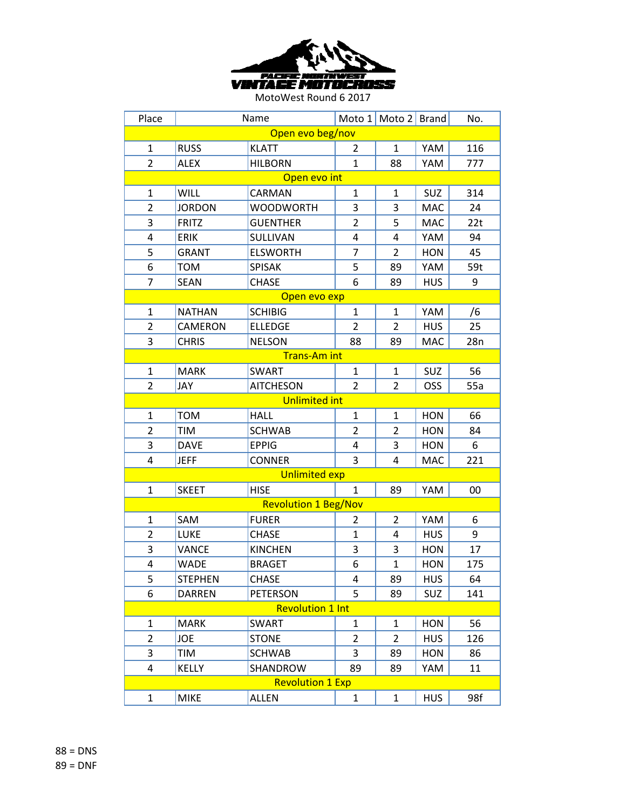

| Place                   |                | Name                        |                | Moto 1 Moto 2 Brand |            | No. |  |
|-------------------------|----------------|-----------------------------|----------------|---------------------|------------|-----|--|
| Open evo beg/nov        |                |                             |                |                     |            |     |  |
| $\mathbf{1}$            | <b>RUSS</b>    | <b>KLATT</b>                | 2              | $\mathbf{1}$        | YAM        | 116 |  |
| $\overline{2}$          | <b>ALEX</b>    | <b>HILBORN</b>              | $\mathbf{1}$   | 88                  | YAM        | 777 |  |
| Open evo int            |                |                             |                |                     |            |     |  |
| 1                       | <b>WILL</b>    | CARMAN                      | 1              | 1                   | SUZ        | 314 |  |
| $\overline{2}$          | <b>JORDON</b>  | <b>WOODWORTH</b>            | 3              | 3                   | <b>MAC</b> | 24  |  |
| 3                       | <b>FRITZ</b>   | <b>GUENTHER</b>             | $\overline{2}$ | 5                   | <b>MAC</b> | 22t |  |
| 4                       | <b>ERIK</b>    | SULLIVAN                    | 4              | 4                   | YAM        | 94  |  |
| 5                       | <b>GRANT</b>   | <b>ELSWORTH</b>             | 7              | $\overline{2}$      | <b>HON</b> | 45  |  |
| 6                       | <b>TOM</b>     | <b>SPISAK</b>               | 5              | 89                  | YAM        | 59t |  |
| $\overline{7}$          | <b>SEAN</b>    | <b>CHASE</b>                | 6              | 89                  | <b>HUS</b> | 9   |  |
|                         |                | Open evo exp                |                |                     |            |     |  |
| $\mathbf{1}$            | <b>NATHAN</b>  | <b>SCHIBIG</b>              | 1              | $\mathbf{1}$        | YAM        | /6  |  |
| $\overline{2}$          | CAMERON        | <b>ELLEDGE</b>              | $\overline{2}$ | $\overline{2}$      | <b>HUS</b> | 25  |  |
| 3                       | <b>CHRIS</b>   | <b>NELSON</b>               | 88             | 89                  | <b>MAC</b> | 28n |  |
|                         |                | <b>Trans-Am int</b>         |                |                     |            |     |  |
| $\mathbf{1}$            | <b>MARK</b>    | <b>SWART</b>                | $\mathbf{1}$   | 1                   | SUZ        | 56  |  |
| $\overline{2}$          | JAY            | <b>AITCHESON</b>            | $\overline{2}$ | $\overline{2}$      | OSS        | 55a |  |
| <b>Unlimited int</b>    |                |                             |                |                     |            |     |  |
| $\mathbf{1}$            | <b>TOM</b>     | <b>HALL</b>                 | 1              | 1                   | <b>HON</b> | 66  |  |
| $\overline{2}$          | TIM            | <b>SCHWAB</b>               | $\overline{2}$ | $\overline{2}$      | <b>HON</b> | 84  |  |
| 3                       | <b>DAVE</b>    | <b>EPPIG</b>                | 4              | 3                   | <b>HON</b> | 6   |  |
| 4                       | <b>JEFF</b>    | <b>CONNER</b>               | 3              | 4                   | MAC        | 221 |  |
|                         |                | <b>Unlimited exp</b>        |                |                     |            |     |  |
| $\mathbf{1}$            | <b>SKEET</b>   | <b>HISE</b>                 | $\mathbf{1}$   | 89                  | YAM        | 00  |  |
|                         |                | <b>Revolution 1 Beg/Nov</b> |                |                     |            |     |  |
| $\mathbf{1}$            | SAM            | <b>FURER</b>                | 2              | 2                   | YAM        | 6   |  |
| $\overline{2}$          | LUKE           | <b>CHASE</b>                | $\mathbf{1}$   | 4                   | <b>HUS</b> | 9   |  |
| 3                       | <b>VANCE</b>   | <b>KINCHEN</b>              | 3              | 3                   | <b>HON</b> | 17  |  |
| 4                       | <b>WADE</b>    | <b>BRAGET</b>               | 6              | $\mathbf{1}$        | <b>HON</b> | 175 |  |
| 5                       | <b>STEPHEN</b> | <b>CHASE</b>                | 4              | 89                  | <b>HUS</b> | 64  |  |
| 6                       | <b>DARREN</b>  | <b>PETERSON</b>             | 5              | 89                  | SUZ        | 141 |  |
| <b>Revolution 1 Int</b> |                |                             |                |                     |            |     |  |
| $\mathbf{1}$            | <b>MARK</b>    | <b>SWART</b>                | $\mathbf{1}$   | 1                   | <b>HON</b> | 56  |  |
| $\overline{2}$          | <b>JOE</b>     | <b>STONE</b>                | 2              | 2                   | <b>HUS</b> | 126 |  |
| 3                       | TIM            | <b>SCHWAB</b>               | 3              | 89                  | <b>HON</b> | 86  |  |
| 4                       | <b>KELLY</b>   | SHANDROW                    | 89             | 89                  | YAM        | 11  |  |
|                         |                | <b>Revolution 1 Exp</b>     |                |                     |            |     |  |
| $\mathbf{1}$            | <b>MIKE</b>    | <b>ALLEN</b>                | $\mathbf{1}$   | $\mathbf{1}$        | <b>HUS</b> | 98f |  |